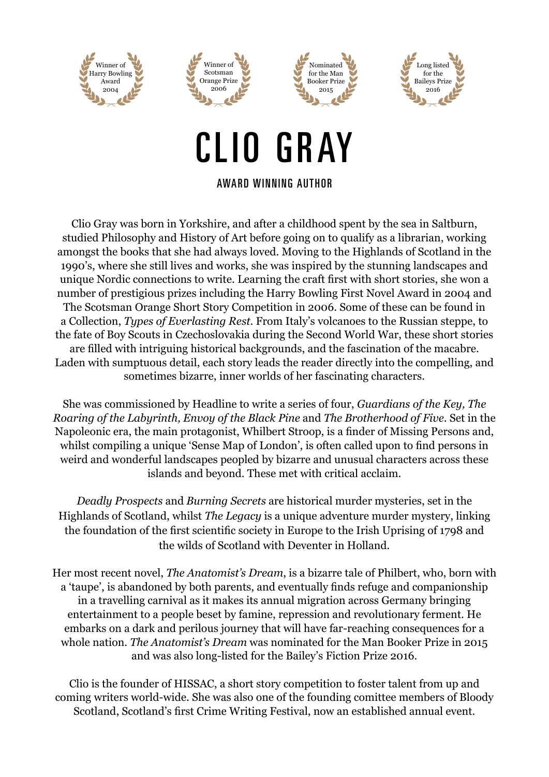







## CLIO GRAY

AWARD WINNING AUTHOR

Clio Gray was born in Yorkshire, and after a childhood spent by the sea in Saltburn, studied Philosophy and History of Art before going on to qualify as a librarian, working amongst the books that she had always loved. Moving to the Highlands of Scotland in the 1990's, where she still lives and works, she was inspired by the stunning landscapes and unique Nordic connections to write. Learning the craft first with short stories, she won a number of prestigious prizes including the Harry Bowling First Novel Award in 2004 and The Scotsman Orange Short Story Competition in 2006. Some of these can be found in a Collection, *Types of Everlasting Rest*. From Italy's volcanoes to the Russian steppe, to the fate of Boy Scouts in Czechoslovakia during the Second World War, these short stories are filled with intriguing historical backgrounds, and the fascination of the macabre. Laden with sumptuous detail, each story leads the reader directly into the compelling, and sometimes bizarre, inner worlds of her fascinating characters.

She was commissioned by Headline to write a series of four, *Guardians of the Key, The Roaring of the Labyrinth, Envoy of the Black Pine* and *The Brotherhood of Five*. Set in the Napoleonic era, the main protagonist, Whilbert Stroop, is a finder of Missing Persons and, whilst compiling a unique 'Sense Map of London', is often called upon to find persons in weird and wonderful landscapes peopled by bizarre and unusual characters across these islands and beyond. These met with critical acclaim.

*Deadly Prospects* and *Burning Secrets* are historical murder mysteries, set in the Highlands of Scotland, whilst *The Legacy* is a unique adventure murder mystery, linking the foundation of the first scientific society in Europe to the Irish Uprising of 1798 and the wilds of Scotland with Deventer in Holland.

Her most recent novel, *The Anatomist's Dream*, is a bizarre tale of Philbert, who, born with a 'taupe', is abandoned by both parents, and eventually finds refuge and companionship in a travelling carnival as it makes its annual migration across Germany bringing entertainment to a people beset by famine, repression and revolutionary ferment. He embarks on a dark and perilous journey that will have far-reaching consequences for a whole nation. *The Anatomist's Dream* was nominated for the Man Booker Prize in 2015 and was also long-listed for the Bailey's Fiction Prize 2016.

Clio is the founder of HISSAC, a short story competition to foster talent from up and coming writers world-wide. She was also one of the founding comittee members of Bloody Scotland, Scotland's first Crime Writing Festival, now an established annual event.